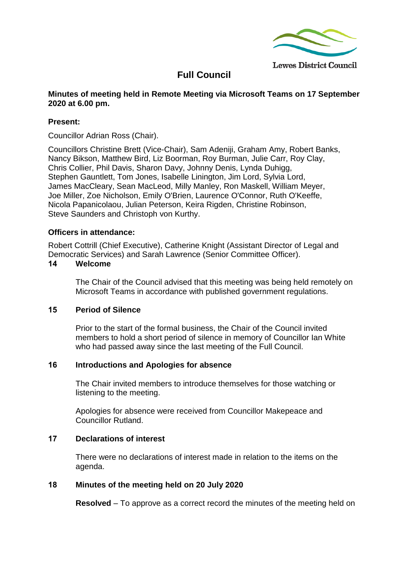

# **Full Council**

#### **Minutes of meeting held in Remote Meeting via Microsoft Teams on 17 September 2020 at 6.00 pm.**

# **Present:**

Councillor Adrian Ross (Chair).

Councillors Christine Brett (Vice-Chair), Sam Adeniji, Graham Amy, Robert Banks, Nancy Bikson, Matthew Bird, Liz Boorman, Roy Burman, Julie Carr, Roy Clay, Chris Collier, Phil Davis, Sharon Davy, Johnny Denis, Lynda Duhigg, Stephen Gauntlett, Tom Jones, Isabelle Linington, Jim Lord, Sylvia Lord, James MacCleary, Sean MacLeod, Milly Manley, Ron Maskell, William Meyer, Joe Miller, Zoe Nicholson, Emily O'Brien, Laurence O'Connor, Ruth O'Keeffe, Nicola Papanicolaou, Julian Peterson, Keira Rigden, Christine Robinson, Steve Saunders and Christoph von Kurthy.

# **Officers in attendance:**

Robert Cottrill (Chief Executive), Catherine Knight (Assistant Director of Legal and Democratic Services) and Sarah Lawrence (Senior Committee Officer).

#### **14 Welcome**

The Chair of the Council advised that this meeting was being held remotely on Microsoft Teams in accordance with published government regulations.

# **15 Period of Silence**

Prior to the start of the formal business, the Chair of the Council invited members to hold a short period of silence in memory of Councillor Ian White who had passed away since the last meeting of the Full Council.

# **16 Introductions and Apologies for absence**

The Chair invited members to introduce themselves for those watching or listening to the meeting.

Apologies for absence were received from Councillor Makepeace and Councillor Rutland.

# **17 Declarations of interest**

There were no declarations of interest made in relation to the items on the agenda.

# **18 Minutes of the meeting held on 20 July 2020**

**Resolved** – To approve as a correct record the minutes of the meeting held on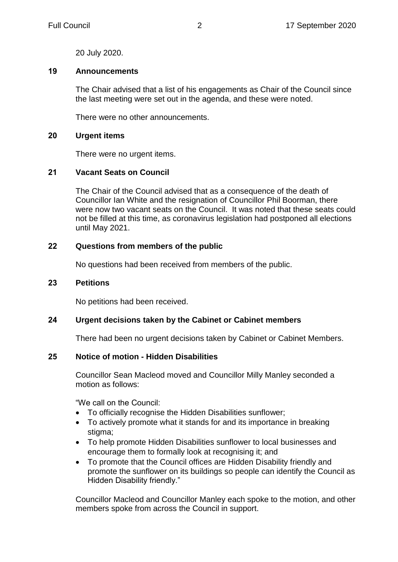20 July 2020.

# **19 Announcements**

The Chair advised that a list of his engagements as Chair of the Council since the last meeting were set out in the agenda, and these were noted.

There were no other announcements.

#### **20 Urgent items**

There were no urgent items.

# **21 Vacant Seats on Council**

The Chair of the Council advised that as a consequence of the death of Councillor Ian White and the resignation of Councillor Phil Boorman, there were now two vacant seats on the Council. It was noted that these seats could not be filled at this time, as coronavirus legislation had postponed all elections until May 2021.

# **22 Questions from members of the public**

No questions had been received from members of the public.

#### **23 Petitions**

No petitions had been received.

# **24 Urgent decisions taken by the Cabinet or Cabinet members**

There had been no urgent decisions taken by Cabinet or Cabinet Members.

# **25 Notice of motion - Hidden Disabilities**

Councillor Sean Macleod moved and Councillor Milly Manley seconded a motion as follows:

"We call on the Council:

- To officially recognise the Hidden Disabilities sunflower;
- To actively promote what it stands for and its importance in breaking stigma;
- To help promote Hidden Disabilities sunflower to local businesses and encourage them to formally look at recognising it; and
- To promote that the Council offices are Hidden Disability friendly and promote the sunflower on its buildings so people can identify the Council as Hidden Disability friendly."

Councillor Macleod and Councillor Manley each spoke to the motion, and other members spoke from across the Council in support.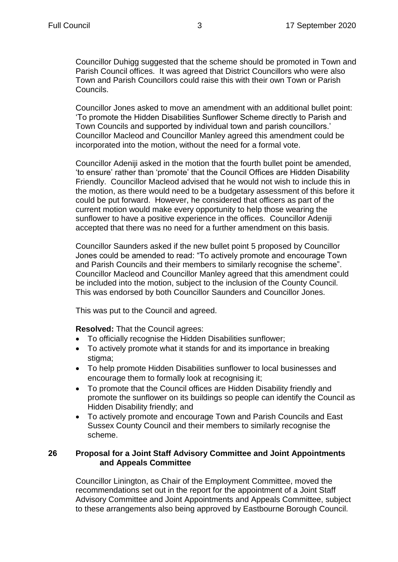Councillor Duhigg suggested that the scheme should be promoted in Town and Parish Council offices. It was agreed that District Councillors who were also Town and Parish Councillors could raise this with their own Town or Parish Councils.

Councillor Jones asked to move an amendment with an additional bullet point: 'To promote the Hidden Disabilities Sunflower Scheme directly to Parish and Town Councils and supported by individual town and parish councillors.' Councillor Macleod and Councillor Manley agreed this amendment could be incorporated into the motion, without the need for a formal vote.

Councillor Adeniji asked in the motion that the fourth bullet point be amended, 'to ensure' rather than 'promote' that the Council Offices are Hidden Disability Friendly. Councillor Macleod advised that he would not wish to include this in the motion, as there would need to be a budgetary assessment of this before it could be put forward. However, he considered that officers as part of the current motion would make every opportunity to help those wearing the sunflower to have a positive experience in the offices. Councillor Adeniji accepted that there was no need for a further amendment on this basis.

Councillor Saunders asked if the new bullet point 5 proposed by Councillor Jones could be amended to read: "To actively promote and encourage Town and Parish Councils and their members to similarly recognise the scheme". Councillor Macleod and Councillor Manley agreed that this amendment could be included into the motion, subject to the inclusion of the County Council. This was endorsed by both Councillor Saunders and Councillor Jones.

This was put to the Council and agreed.

**Resolved:** That the Council agrees:

- To officially recognise the Hidden Disabilities sunflower;
- To actively promote what it stands for and its importance in breaking stigma;
- To help promote Hidden Disabilities sunflower to local businesses and encourage them to formally look at recognising it;
- To promote that the Council offices are Hidden Disability friendly and promote the sunflower on its buildings so people can identify the Council as Hidden Disability friendly; and
- To actively promote and encourage Town and Parish Councils and East Sussex County Council and their members to similarly recognise the scheme.

# **26 Proposal for a Joint Staff Advisory Committee and Joint Appointments and Appeals Committee**

Councillor Linington, as Chair of the Employment Committee, moved the recommendations set out in the report for the appointment of a Joint Staff Advisory Committee and Joint Appointments and Appeals Committee, subject to these arrangements also being approved by Eastbourne Borough Council.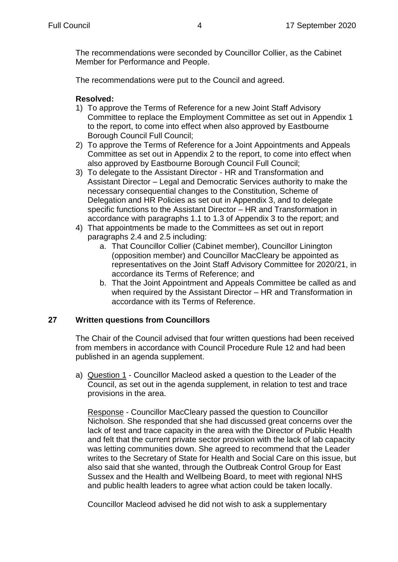The recommendations were seconded by Councillor Collier, as the Cabinet Member for Performance and People.

The recommendations were put to the Council and agreed.

# **Resolved:**

- 1) To approve the Terms of Reference for a new Joint Staff Advisory Committee to replace the Employment Committee as set out in Appendix 1 to the report, to come into effect when also approved by Eastbourne Borough Council Full Council;
- 2) To approve the Terms of Reference for a Joint Appointments and Appeals Committee as set out in Appendix 2 to the report, to come into effect when also approved by Eastbourne Borough Council Full Council;
- 3) To delegate to the Assistant Director HR and Transformation and Assistant Director – Legal and Democratic Services authority to make the necessary consequential changes to the Constitution, Scheme of Delegation and HR Policies as set out in Appendix 3, and to delegate specific functions to the Assistant Director – HR and Transformation in accordance with paragraphs 1.1 to 1.3 of Appendix 3 to the report; and
- 4) That appointments be made to the Committees as set out in report paragraphs 2.4 and 2.5 including:
	- a. That Councillor Collier (Cabinet member), Councillor Linington (opposition member) and Councillor MacCleary be appointed as representatives on the Joint Staff Advisory Committee for 2020/21, in accordance its Terms of Reference; and
	- b. That the Joint Appointment and Appeals Committee be called as and when required by the Assistant Director – HR and Transformation in accordance with its Terms of Reference.

# **27 Written questions from Councillors**

The Chair of the Council advised that four written questions had been received from members in accordance with Council Procedure Rule 12 and had been published in an agenda supplement.

a) Question 1 - Councillor Macleod asked a question to the Leader of the Council, as set out in the agenda supplement, in relation to test and trace provisions in the area.

Response - Councillor MacCleary passed the question to Councillor Nicholson. She responded that she had discussed great concerns over the lack of test and trace capacity in the area with the Director of Public Health and felt that the current private sector provision with the lack of lab capacity was letting communities down. She agreed to recommend that the Leader writes to the Secretary of State for Health and Social Care on this issue, but also said that she wanted, through the Outbreak Control Group for East Sussex and the Health and Wellbeing Board, to meet with regional NHS and public health leaders to agree what action could be taken locally.

Councillor Macleod advised he did not wish to ask a supplementary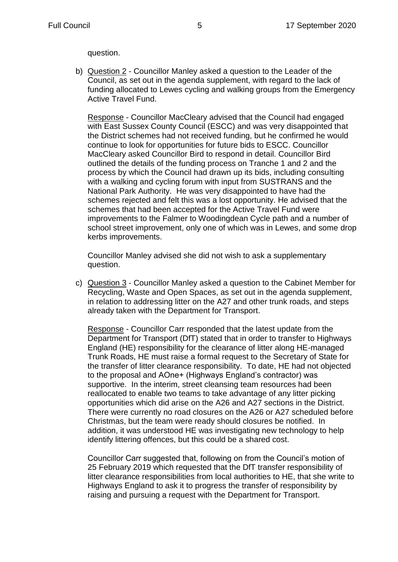question.

b) Question 2 - Councillor Manley asked a question to the Leader of the Council, as set out in the agenda supplement, with regard to the lack of funding allocated to Lewes cycling and walking groups from the Emergency Active Travel Fund.

Response - Councillor MacCleary advised that the Council had engaged with East Sussex County Council (ESCC) and was very disappointed that the District schemes had not received funding, but he confirmed he would continue to look for opportunities for future bids to ESCC. Councillor MacCleary asked Councillor Bird to respond in detail. Councillor Bird outlined the details of the funding process on Tranche 1 and 2 and the process by which the Council had drawn up its bids, including consulting with a walking and cycling forum with input from SUSTRANS and the National Park Authority. He was very disappointed to have had the schemes rejected and felt this was a lost opportunity. He advised that the schemes that had been accepted for the Active Travel Fund were improvements to the Falmer to Woodingdean Cycle path and a number of school street improvement, only one of which was in Lewes, and some drop kerbs improvements.

Councillor Manley advised she did not wish to ask a supplementary question.

c) Question 3 - Councillor Manley asked a question to the Cabinet Member for Recycling, Waste and Open Spaces, as set out in the agenda supplement, in relation to addressing litter on the A27 and other trunk roads, and steps already taken with the Department for Transport.

Response - Councillor Carr responded that the latest update from the Department for Transport (DfT) stated that in order to transfer to Highways England (HE) responsibility for the clearance of litter along HE-managed Trunk Roads, HE must raise a formal request to the Secretary of State for the transfer of litter clearance responsibility. To date, HE had not objected to the proposal and AOne+ (Highways England's contractor) was supportive. In the interim, street cleansing team resources had been reallocated to enable two teams to take advantage of any litter picking opportunities which did arise on the A26 and A27 sections in the District. There were currently no road closures on the A26 or A27 scheduled before Christmas, but the team were ready should closures be notified. In addition, it was understood HE was investigating new technology to help identify littering offences, but this could be a shared cost.

Councillor Carr suggested that, following on from the Council's motion of 25 February 2019 which requested that the DfT transfer responsibility of litter clearance responsibilities from local authorities to HE, that she write to Highways England to ask it to progress the transfer of responsibility by raising and pursuing a request with the Department for Transport.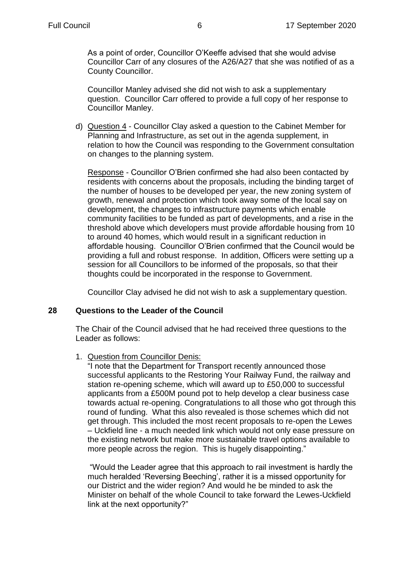As a point of order, Councillor O'Keeffe advised that she would advise Councillor Carr of any closures of the A26/A27 that she was notified of as a County Councillor.

Councillor Manley advised she did not wish to ask a supplementary question. Councillor Carr offered to provide a full copy of her response to Councillor Manley.

d) Question 4 - Councillor Clay asked a question to the Cabinet Member for Planning and Infrastructure, as set out in the agenda supplement, in relation to how the Council was responding to the Government consultation on changes to the planning system.

Response - Councillor O'Brien confirmed she had also been contacted by residents with concerns about the proposals, including the binding target of the number of houses to be developed per year, the new zoning system of growth, renewal and protection which took away some of the local say on development, the changes to infrastructure payments which enable community facilities to be funded as part of developments, and a rise in the threshold above which developers must provide affordable housing from 10 to around 40 homes, which would result in a significant reduction in affordable housing. Councillor O'Brien confirmed that the Council would be providing a full and robust response. In addition, Officers were setting up a session for all Councillors to be informed of the proposals, so that their thoughts could be incorporated in the response to Government.

Councillor Clay advised he did not wish to ask a supplementary question.

# **28 Questions to the Leader of the Council**

The Chair of the Council advised that he had received three questions to the Leader as follows:

# 1. Question from Councillor Denis:

"I note that the Department for Transport recently announced those successful applicants to the Restoring Your Railway Fund, the railway and station re-opening scheme, which will award up to £50,000 to successful applicants from a £500M pound pot to help develop a clear business case towards actual re-opening. Congratulations to all those who got through this round of funding. What this also revealed is those schemes which did not get through. This included the most recent proposals to re-open the Lewes – Uckfield line - a much needed link which would not only ease pressure on the existing network but make more sustainable travel options available to more people across the region. This is hugely disappointing."

"Would the Leader agree that this approach to rail investment is hardly the much heralded 'Reversing Beeching', rather it is a missed opportunity for our District and the wider region? And would he be minded to ask the Minister on behalf of the whole Council to take forward the Lewes-Uckfield link at the next opportunity?"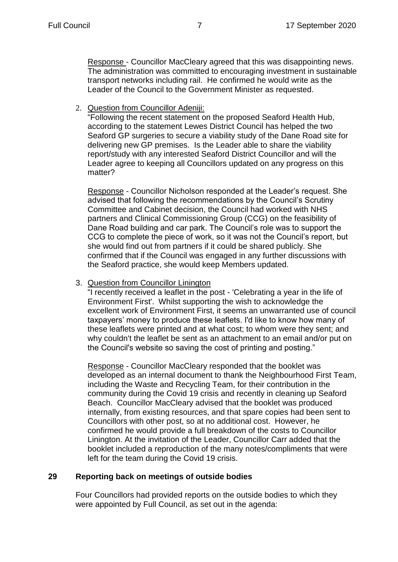Response - Councillor MacCleary agreed that this was disappointing news. The administration was committed to encouraging investment in sustainable transport networks including rail. He confirmed he would write as the Leader of the Council to the Government Minister as requested.

2. Question from Councillor Adeniji:

"Following the recent statement on the proposed Seaford Health Hub, according to the statement Lewes District Council has helped the two Seaford GP surgeries to secure a viability study of the Dane Road site for delivering new GP premises. Is the Leader able to share the viability report/study with any interested Seaford District Councillor and will the Leader agree to keeping all Councillors updated on any progress on this matter?

Response - Councillor Nicholson responded at the Leader's request. She advised that following the recommendations by the Council's Scrutiny Committee and Cabinet decision, the Council had worked with NHS partners and Clinical Commissioning Group (CCG) on the feasibility of Dane Road building and car park. The Council's role was to support the CCG to complete the piece of work, so it was not the Council's report, but she would find out from partners if it could be shared publicly. She confirmed that if the Council was engaged in any further discussions with the Seaford practice, she would keep Members updated.

#### 3. Question from Councillor Linington

"I recently received a leaflet in the post - 'Celebrating a year in the life of Environment First'. Whilst supporting the wish to acknowledge the excellent work of Environment First, it seems an unwarranted use of council taxpayers' money to produce these leaflets. I'd like to know how many of these leaflets were printed and at what cost; to whom were they sent; and why couldn't the leaflet be sent as an attachment to an email and/or put on the Council's website so saving the cost of printing and posting."

Response - Councillor MacCleary responded that the booklet was developed as an internal document to thank the Neighbourhood First Team, including the Waste and Recycling Team, for their contribution in the community during the Covid 19 crisis and recently in cleaning up Seaford Beach. Councillor MacCleary advised that the booklet was produced internally, from existing resources, and that spare copies had been sent to Councillors with other post, so at no additional cost. However, he confirmed he would provide a full breakdown of the costs to Councillor Linington. At the invitation of the Leader, Councillor Carr added that the booklet included a reproduction of the many notes/compliments that were left for the team during the Covid 19 crisis.

# **29 Reporting back on meetings of outside bodies**

Four Councillors had provided reports on the outside bodies to which they were appointed by Full Council, as set out in the agenda: